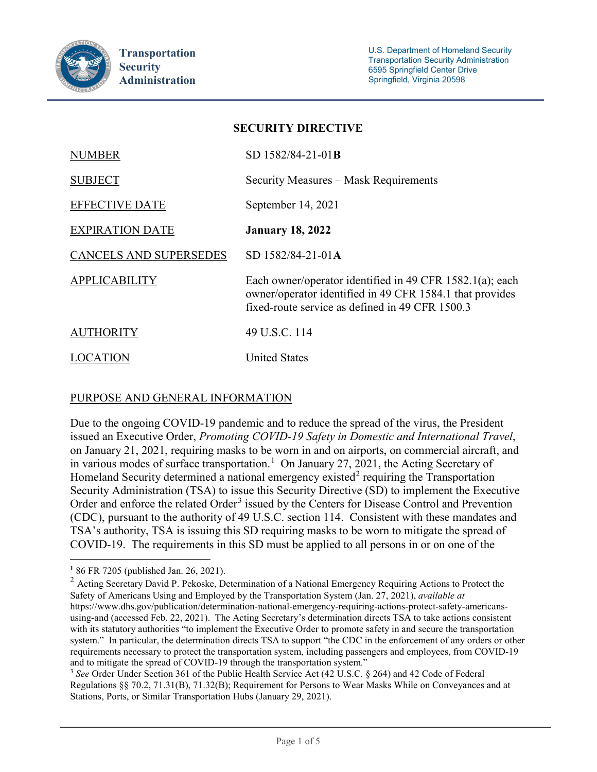

| <b>SECURITY DIRECTIVE</b>     |                                                                                                                                                                         |
|-------------------------------|-------------------------------------------------------------------------------------------------------------------------------------------------------------------------|
| <b>NUMBER</b>                 | SD 1582/84-21-01B                                                                                                                                                       |
| <b>SUBJECT</b>                | Security Measures – Mask Requirements                                                                                                                                   |
| <b>EFFECTIVE DATE</b>         | September 14, 2021                                                                                                                                                      |
| <b>EXPIRATION DATE</b>        | <b>January 18, 2022</b>                                                                                                                                                 |
| <b>CANCELS AND SUPERSEDES</b> | SD 1582/84-21-01A                                                                                                                                                       |
| <b>APPLICABILITY</b>          | Each owner/operator identified in 49 CFR 1582.1(a); each<br>owner/operator identified in 49 CFR 1584.1 that provides<br>fixed-route service as defined in 49 CFR 1500.3 |
| <b>AUTHORITY</b>              | 49 U.S.C. 114                                                                                                                                                           |
| <b>LOCATION</b>               | <b>United States</b>                                                                                                                                                    |

## PURPOSE AND GENERAL INFORMATION

Due to the ongoing COVID-19 pandemic and to reduce the spread of the virus, the President issued an Executive Order, *Promoting COVID-19 Safety in Domestic and International Travel*, on January 21, 2021, requiring masks to be worn in and on airports, on commercial aircraft, and in various modes of surface transportation.<sup>[1](#page-0-0)</sup> On January 27, 2021, the Acting Secretary of Homeland Security determined a national emergency existed<sup>[2](#page-0-1)</sup> requiring the Transportation Security Administration (TSA) to issue this Security Directive (SD) to implement the Executive Order and enforce the related Order<sup>[3](#page-0-2)</sup> issued by the Centers for Disease Control and Prevention (CDC), pursuant to the authority of 49 U.S.C. section 114. Consistent with these mandates and TSA's authority, TSA is issuing this SD requiring masks to be worn to mitigate the spread of COVID-19. The requirements in this SD must be applied to all persons in or on one of the

 $\overline{a}$ **<sup>1</sup>** 86 FR 7205 (published Jan. 26, 2021).

<span id="page-0-1"></span><span id="page-0-0"></span><sup>&</sup>lt;sup>2</sup> Acting Secretary David P. Pekoske, Determination of a National Emergency Requiring Actions to Protect the Safety of Americans Using and Employed by the Transportation System (Jan. 27, 2021), *available at*  https://www.dhs.gov/publication/determination-national-emergency-requiring-actions-protect-safety-americansusing-and (accessed Feb. 22, 2021). The Acting Secretary's determination directs TSA to take actions consistent with its statutory authorities "to implement the Executive Order to promote safety in and secure the transportation system." In particular, the determination directs TSA to support "the CDC in the enforcement of any orders or other requirements necessary to protect the transportation system, including passengers and employees, from COVID-19 and to mitigate the spread of COVID-19 through the transportation system."<br><sup>3</sup> *See* Order Under Section 361 of the Public Health Service Act (42 U.S.C. § 264) and 42 Code of Federal

<span id="page-0-2"></span>Regulations §§ 70.2, 71.31(B), 71.32(B); Requirement for Persons to Wear Masks While on Conveyances and at Stations, Ports, or Similar Transportation Hubs (January 29, 2021).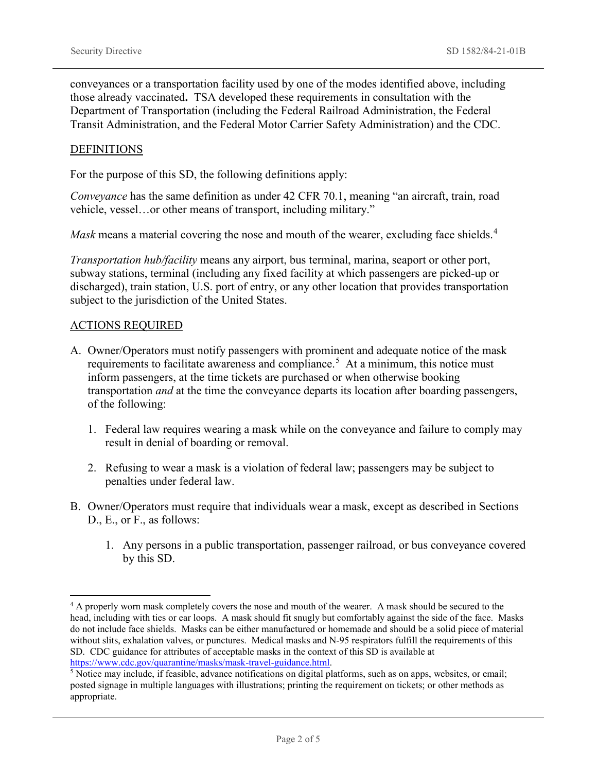conveyances or a transportation facility used by one of the modes identified above, including those already vaccinated**.** TSA developed these requirements in consultation with the Department of Transportation (including the Federal Railroad Administration, the Federal Transit Administration, and the Federal Motor Carrier Safety Administration) and the CDC.

#### **DEFINITIONS**

For the purpose of this SD, the following definitions apply:

*Conveyance* has the same definition as under 42 CFR 70.1, meaning "an aircraft, train, road vehicle, vessel…or other means of transport, including military."

*Mask* means a material covering the nose and mouth of the wearer, excluding face shields.<sup>[4](#page-1-0)</sup>

*Transportation hub/facility* means any airport, bus terminal, marina, seaport or other port, subway stations, terminal (including any fixed facility at which passengers are picked-up or discharged), train station, U.S. port of entry, or any other location that provides transportation subject to the jurisdiction of the United States.

#### ACTIONS REQUIRED

- A. Owner/Operators must notify passengers with prominent and adequate notice of the mask requirements to facilitate awareness and compliance.<sup>[5](#page-1-1)</sup> At a minimum, this notice must inform passengers, at the time tickets are purchased or when otherwise booking transportation *and* at the time the conveyance departs its location after boarding passengers, of the following:
	- 1. Federal law requires wearing a mask while on the conveyance and failure to comply may result in denial of boarding or removal.
	- 2. Refusing to wear a mask is a violation of federal law; passengers may be subject to penalties under federal law.
- B. Owner/Operators must require that individuals wear a mask, except as described in Sections D., E., or F., as follows:
	- 1. Any persons in a public transportation, passenger railroad, or bus conveyance covered by this SD.

<span id="page-1-0"></span><sup>&</sup>lt;sup>4</sup> A properly worn mask completely covers the nose and mouth of the wearer. A mask should be secured to the head, including with ties or ear loops. A mask should fit snugly but comfortably against the side of the face. Masks do not include face shields. Masks can be either manufactured or homemade and should be a solid piece of material without slits, exhalation valves, or punctures. Medical masks and N-95 respirators fulfill the requirements of this SD. CDC guidance for attributes of acceptable masks in the context of this SD is available at [https://www.cdc.gov/quarantine/masks/mask-travel-guidance.html.](https://www.cdc.gov/quarantine/masks/mask-travel-guidance.html)

<span id="page-1-1"></span> $<sup>5</sup>$  Notice may include, if feasible, advance notifications on digital platforms, such as on apps, websites, or email;</sup> posted signage in multiple languages with illustrations; printing the requirement on tickets; or other methods as appropriate.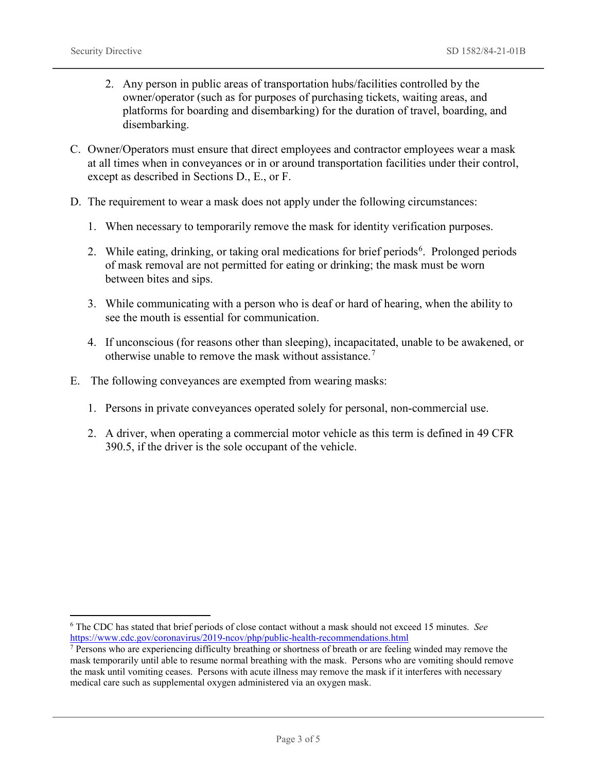- 2. Any person in public areas of transportation hubs/facilities controlled by the owner/operator (such as for purposes of purchasing tickets, waiting areas, and platforms for boarding and disembarking) for the duration of travel, boarding, and disembarking.
- C. Owner/Operators must ensure that direct employees and contractor employees wear a mask at all times when in conveyances or in or around transportation facilities under their control, except as described in Sections D., E., or F.
- D. The requirement to wear a mask does not apply under the following circumstances:
	- 1. When necessary to temporarily remove the mask for identity verification purposes.
	- 2. While eating, drinking, or taking oral medications for brief periods<sup>[6](#page-2-0)</sup>. Prolonged periods of mask removal are not permitted for eating or drinking; the mask must be worn between bites and sips.
	- 3. While communicating with a person who is deaf or hard of hearing, when the ability to see the mouth is essential for communication.
	- 4. If unconscious (for reasons other than sleeping), incapacitated, unable to be awakened, or otherwise unable to remove the mask without assistance.[7](#page-2-1)
- E. The following conveyances are exempted from wearing masks:
	- 1. Persons in private conveyances operated solely for personal, non-commercial use.
	- 2. A driver, when operating a commercial motor vehicle as this term is defined in 49 CFR 390.5, if the driver is the sole occupant of the vehicle.

<span id="page-2-0"></span> <sup>6</sup> The CDC has stated that brief periods of close contact without a mask should not exceed 15 minutes. *See* <https://www.cdc.gov/coronavirus/2019-ncov/php/public-health-recommendations.html>

<span id="page-2-1"></span><sup>&</sup>lt;sup>7</sup> Persons who are experiencing difficulty breathing or shortness of breath or are feeling winded may remove the mask temporarily until able to resume normal breathing with the mask. Persons who are vomiting should remove the mask until vomiting ceases. Persons with acute illness may remove the mask if it interferes with necessary medical care such as supplemental oxygen administered via an oxygen mask.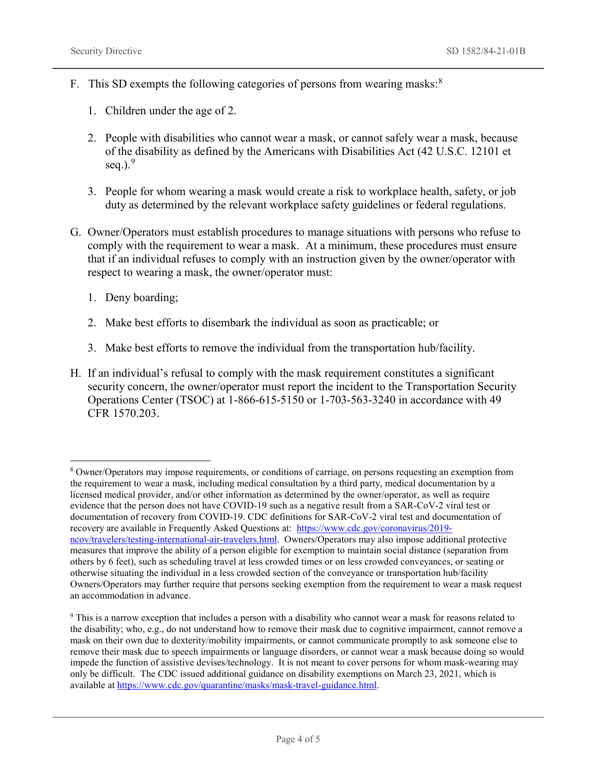- F. This SD exempts the following categories of persons from wearing masks:<sup>[8](#page-3-0)</sup>
	- 1. Children under the age of 2.
	- 2. People with disabilities who cannot wear a mask, or cannot safely wear a mask, because of the disability as defined by the Americans with Disabilities Act (42 U.S.C. 12101 et seq.). $9$
	- 3. People for whom wearing a mask would create a risk to workplace health, safety, or job duty as determined by the relevant workplace safety guidelines or federal regulations.
- G. Owner/Operators must establish procedures to manage situations with persons who refuse to comply with the requirement to wear a mask. At a minimum, these procedures must ensure that if an individual refuses to comply with an instruction given by the owner/operator with respect to wearing a mask, the owner/operator must:
	- 1. Deny boarding;
	- 2. Make best efforts to disembark the individual as soon as practicable; or
	- 3. Make best efforts to remove the individual from the transportation hub/facility.
- H. If an individual's refusal to comply with the mask requirement constitutes a significant security concern, the owner/operator must report the incident to the Transportation Security Operations Center (TSOC) at 1-866-615-5150 or 1-703-563-3240 in accordance with 49 CFR 1570.203.

<span id="page-3-0"></span> <sup>8</sup> Owner/Operators may impose requirements, or conditions of carriage, on persons requesting an exemption from the requirement to wear a mask, including medical consultation by a third party, medical documentation by a licensed medical provider, and/or other information as determined by the owner/operator, as well as require evidence that the person does not have COVID-19 such as a negative result from a SAR-CoV-2 viral test or documentation of recovery from COVID-19. CDC definitions for SAR-CoV-2 viral test and documentation of recovery are available in Frequently Asked Questions at: [https://www.cdc.gov/coronavirus/2019](https://www.cdc.gov/coronavirus/2019-ncov/travelers/testing-international-air-travelers.html) [ncov/travelers/testing-international-air-travelers.html.](https://www.cdc.gov/coronavirus/2019-ncov/travelers/testing-international-air-travelers.html) Owners/Operators may also impose additional protective measures that improve the ability of a person eligible for exemption to maintain social distance (separation from others by 6 feet), such as scheduling travel at less crowded times or on less crowded conveyances, or seating or otherwise situating the individual in a less crowded section of the conveyance or transportation hub/facility Owners/Operators may further require that persons seeking exemption from the requirement to wear a mask request an accommodation in advance.

<span id="page-3-1"></span><sup>9</sup> This is a narrow exception that includes a person with a disability who cannot wear a mask for reasons related to the disability; who, e.g., do not understand how to remove their mask due to cognitive impairment, cannot remove a mask on their own due to dexterity/mobility impairments, or cannot communicate promptly to ask someone else to remove their mask due to speech impairments or language disorders, or cannot wear a mask because doing so would impede the function of assistive devises/technology. It is not meant to cover persons for whom mask-wearing may only be difficult. The CDC issued additional guidance on disability exemptions on March 23, 2021, which is available at [https://www.cdc.gov/quarantine/masks/mask-travel-guidance.html.](https://www.cdc.gov/quarantine/masks/mask-travel-guidance.html)